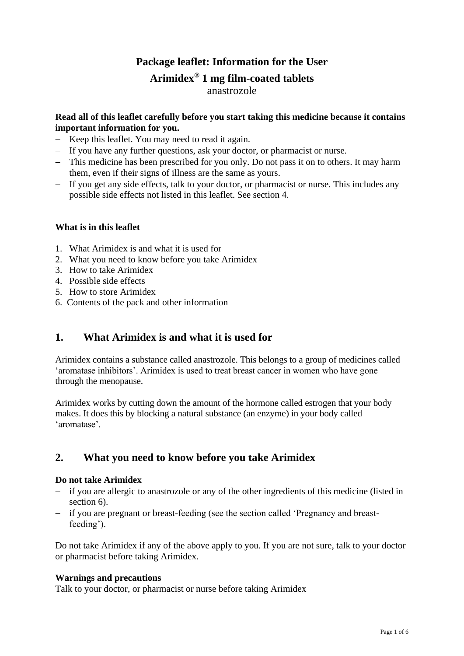## **Package leaflet: Information for the User Arimidex® 1 mg film-coated tablets** anastrozole

### **Read all of this leaflet carefully before you start taking this medicine because it contains important information for you.**

- − Keep this leaflet. You may need to read it again.
- − If you have any further questions, ask your doctor, or pharmacist or nurse.
- − This medicine has been prescribed for you only. Do not pass it on to others. It may harm them, even if their signs of illness are the same as yours.
- − If you get any side effects, talk to your doctor, or pharmacist or nurse. This includes any possible side effects not listed in this leaflet. See section 4.

### **What is in this leaflet**

- 1. What Arimidex is and what it is used for
- 2. What you need to know before you take Arimidex
- 3. How to take Arimidex
- 4. Possible side effects
- 5. How to store Arimidex
- 6. Contents of the pack and other information

### **1. What Arimidex is and what it is used for**

Arimidex contains a substance called anastrozole. This belongs to a group of medicines called 'aromatase inhibitors'. Arimidex is used to treat breast cancer in women who have gone through the menopause.

Arimidex works by cutting down the amount of the hormone called estrogen that your body makes. It does this by blocking a natural substance (an enzyme) in your body called 'aromatase'.

## **2. What you need to know before you take Arimidex**

#### **Do not take Arimidex**

- − if you are allergic to anastrozole or any of the other ingredients of this medicine (listed in section 6).
- − if you are pregnant or breast-feeding (see the section called 'Pregnancy and breastfeeding').

Do not take Arimidex if any of the above apply to you. If you are not sure, talk to your doctor or pharmacist before taking Arimidex.

#### **Warnings and precautions**

Talk to your doctor, or pharmacist or nurse before taking Arimidex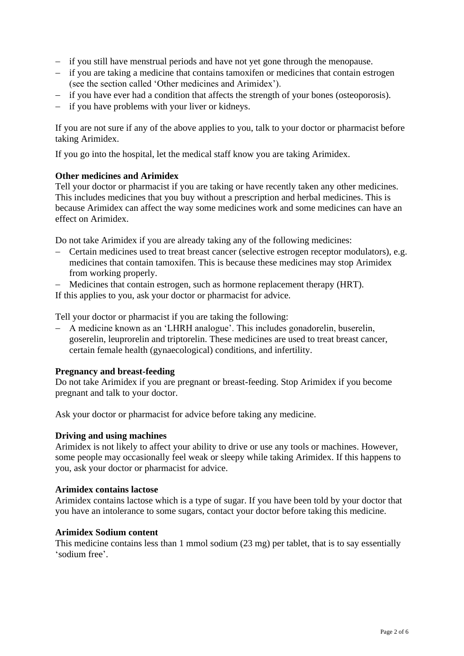- − if you still have menstrual periods and have not yet gone through the menopause.
- − if you are taking a medicine that contains tamoxifen or medicines that contain estrogen (see the section called 'Other medicines and Arimidex').
- − if you have ever had a condition that affects the strength of your bones (osteoporosis).
- − if you have problems with your liver or kidneys.

If you are not sure if any of the above applies to you, talk to your doctor or pharmacist before taking Arimidex.

If you go into the hospital, let the medical staff know you are taking Arimidex.

#### **Other medicines and Arimidex**

Tell your doctor or pharmacist if you are taking or have recently taken any other medicines. This includes medicines that you buy without a prescription and herbal medicines. This is because Arimidex can affect the way some medicines work and some medicines can have an effect on Arimidex.

Do not take Arimidex if you are already taking any of the following medicines:

- − Certain medicines used to treat breast cancer (selective estrogen receptor modulators), e.g. medicines that contain tamoxifen. This is because these medicines may stop Arimidex from working properly.
- − Medicines that contain estrogen, such as hormone replacement therapy (HRT).

If this applies to you, ask your doctor or pharmacist for advice.

Tell your doctor or pharmacist if you are taking the following:

− A medicine known as an 'LHRH analogue'. This includes gonadorelin, buserelin, goserelin, leuprorelin and triptorelin. These medicines are used to treat breast cancer, certain female health (gynaecological) conditions, and infertility.

#### **Pregnancy and breast-feeding**

Do not take Arimidex if you are pregnant or breast-feeding. Stop Arimidex if you become pregnant and talk to your doctor.

Ask your doctor or pharmacist for advice before taking any medicine.

#### **Driving and using machines**

Arimidex is not likely to affect your ability to drive or use any tools or machines. However, some people may occasionally feel weak or sleepy while taking Arimidex. If this happens to you, ask your doctor or pharmacist for advice.

#### **Arimidex contains lactose**

Arimidex contains lactose which is a type of sugar. If you have been told by your doctor that you have an intolerance to some sugars, contact your doctor before taking this medicine.

#### **Arimidex Sodium content**

This medicine contains less than 1 mmol sodium (23 mg) per tablet, that is to say essentially 'sodium free'.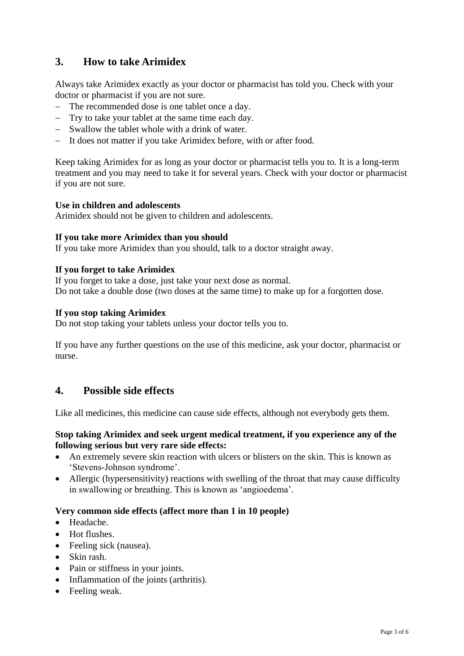## **3. How to take Arimidex**

Always take Arimidex exactly as your doctor or pharmacist has told you. Check with your doctor or pharmacist if you are not sure.

- − The recommended dose is one tablet once a day.
- − Try to take your tablet at the same time each day.
- − Swallow the tablet whole with a drink of water.
- − It does not matter if you take Arimidex before, with or after food.

Keep taking Arimidex for as long as your doctor or pharmacist tells you to. It is a long-term treatment and you may need to take it for several years. Check with your doctor or pharmacist if you are not sure.

#### **Use in children and adolescents**

Arimidex should not be given to children and adolescents.

#### **If you take more Arimidex than you should**

If you take more Arimidex than you should, talk to a doctor straight away.

#### **If you forget to take Arimidex**

If you forget to take a dose, just take your next dose as normal. Do not take a double dose (two doses at the same time) to make up for a forgotten dose.

#### **If you stop taking Arimidex**

Do not stop taking your tablets unless your doctor tells you to.

If you have any further questions on the use of this medicine, ask your doctor, pharmacist or nurse.

### **4. Possible side effects**

Like all medicines, this medicine can cause side effects, although not everybody gets them.

#### **Stop taking Arimidex and seek urgent medical treatment, if you experience any of the following serious but very rare side effects:**

- An extremely severe skin reaction with ulcers or blisters on the skin. This is known as 'Stevens-Johnson syndrome'.
- Allergic (hypersensitivity) reactions with swelling of the throat that may cause difficulty in swallowing or breathing. This is known as 'angioedema'.

#### **Very common side effects (affect more than 1 in 10 people)**

- Headache.
- Hot flushes.
- Feeling sick (nausea).
- Skin rash.
- Pain or stiffness in your joints.
- Inflammation of the joints (arthritis).
- Feeling weak.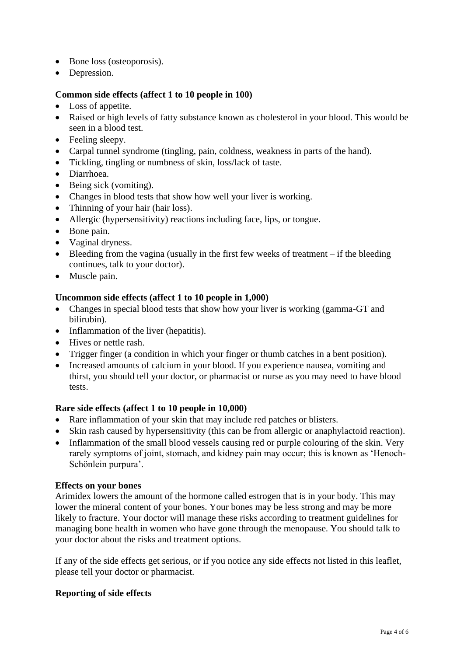- Bone loss (osteoporosis).
- Depression.

#### **Common side effects (affect 1 to 10 people in 100)**

- Loss of appetite.
- Raised or high levels of fatty substance known as cholesterol in your blood. This would be seen in a blood test.
- Feeling sleepy.
- Carpal tunnel syndrome (tingling, pain, coldness, weakness in parts of the hand).
- Tickling, tingling or numbness of skin, loss/lack of taste.
- Diarrhoea.
- Being sick (vomiting).
- Changes in blood tests that show how well your liver is working.
- Thinning of your hair (hair loss).
- Allergic (hypersensitivity) reactions including face, lips, or tongue.
- Bone pain.
- Vaginal dryness.
- Bleeding from the vagina (usually in the first few weeks of treatment if the bleeding continues, talk to your doctor).
- Muscle pain.

#### **Uncommon side effects (affect 1 to 10 people in 1,000)**

- Changes in special blood tests that show how your liver is working (gamma-GT and bilirubin).
- Inflammation of the liver (hepatitis).
- Hives or nettle rash.
- Trigger finger (a condition in which your finger or thumb catches in a bent position).
- Increased amounts of calcium in your blood. If you experience nausea, vomiting and thirst, you should tell your doctor, or pharmacist or nurse as you may need to have blood tests.

#### **Rare side effects (affect 1 to 10 people in 10,000)**

- Rare inflammation of your skin that may include red patches or blisters.
- Skin rash caused by hypersensitivity (this can be from allergic or anaphylactoid reaction).
- Inflammation of the small blood vessels causing red or purple colouring of the skin. Very rarely symptoms of joint, stomach, and kidney pain may occur; this is known as 'Henoch-Schönlein purpura'.

#### **Effects on your bones**

Arimidex lowers the amount of the hormone called estrogen that is in your body. This may lower the mineral content of your bones. Your bones may be less strong and may be more likely to fracture. Your doctor will manage these risks according to treatment guidelines for managing bone health in women who have gone through the menopause. You should talk to your doctor about the risks and treatment options.

If any of the side effects get serious, or if you notice any side effects not listed in this leaflet, please tell your doctor or pharmacist.

#### **Reporting of side effects**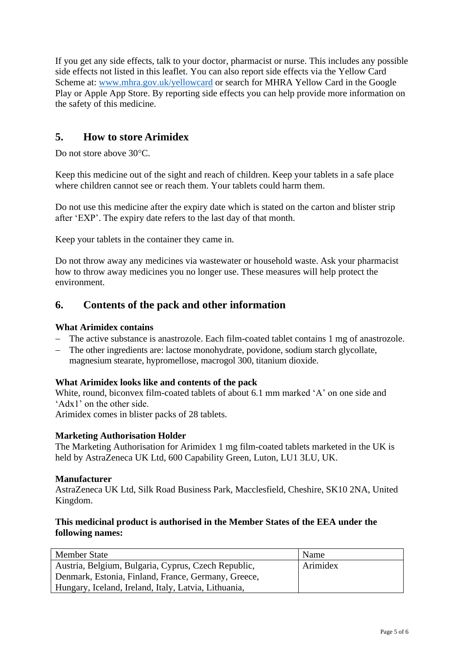If you get any side effects, talk to your doctor, pharmacist or nurse. This includes any possible side effects not listed in this leaflet. You can also report side effects via the Yellow Card Scheme at: [www.mhra.gov.uk/yellowcard](http://www.mhra.gov.uk/yellowcard) or search for MHRA Yellow Card in the Google Play or Apple App Store. By reporting side effects you can help provide more information on the safety of this medicine.

## **5. How to store Arimidex**

Do not store above 30<sup>o</sup>C.

Keep this medicine out of the sight and reach of children. Keep your tablets in a safe place where children cannot see or reach them. Your tablets could harm them.

Do not use this medicine after the expiry date which is stated on the carton and blister strip after 'EXP'. The expiry date refers to the last day of that month.

Keep your tablets in the container they came in.

Do not throw away any medicines via wastewater or household waste. Ask your pharmacist how to throw away medicines you no longer use. These measures will help protect the environment.

### **6. Contents of the pack and other information**

#### **What Arimidex contains**

- − The active substance is anastrozole. Each film-coated tablet contains 1 mg of anastrozole.
- − The other ingredients are: lactose monohydrate, povidone, sodium starch glycollate, magnesium stearate, hypromellose, macrogol 300, titanium dioxide.

#### **What Arimidex looks like and contents of the pack**

White, round, biconvex film-coated tablets of about 6.1 mm marked 'A' on one side and 'Adx1' on the other side.

Arimidex comes in blister packs of 28 tablets.

#### **Marketing Authorisation Holder**

The Marketing Authorisation for Arimidex 1 mg film-coated tablets marketed in the UK is held by AstraZeneca UK Ltd, 600 Capability Green, Luton, LU1 3LU, UK.

#### **Manufacturer**

AstraZeneca UK Ltd, Silk Road Business Park, Macclesfield, Cheshire, SK10 2NA, United Kingdom.

#### **This medicinal product is authorised in the Member States of the EEA under the following names:**

| <b>Member State</b>                                  | Name     |
|------------------------------------------------------|----------|
| Austria, Belgium, Bulgaria, Cyprus, Czech Republic,  | Arimidex |
| Denmark, Estonia, Finland, France, Germany, Greece,  |          |
| Hungary, Iceland, Ireland, Italy, Latvia, Lithuania, |          |